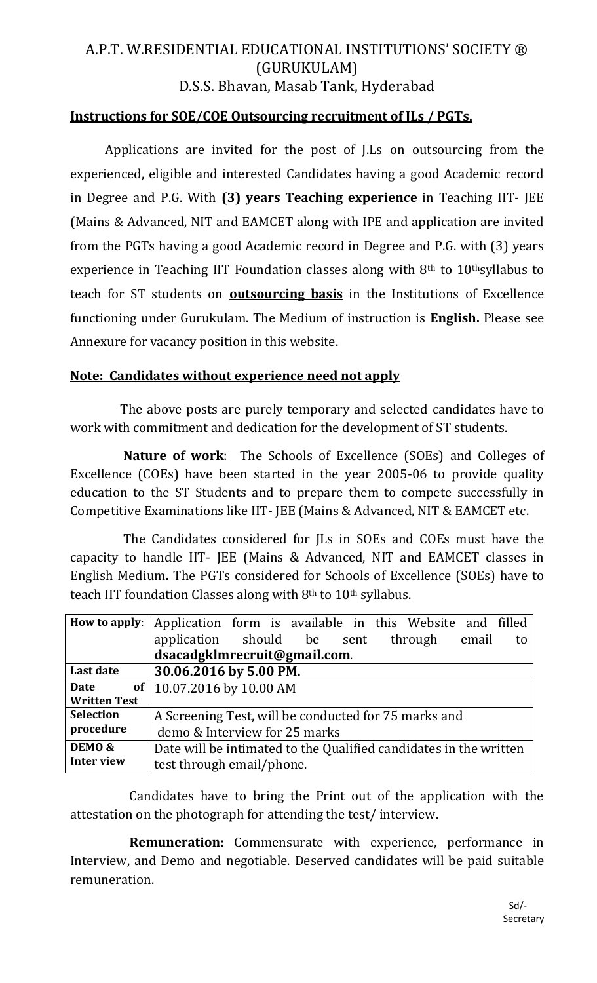# A.P.T. W.RESIDENTIAL EDUCATIONAL INSTITUTIONS' SOCIETY ® (GURUKULAM) D.S.S. Bhavan, Masab Tank, Hyderabad

#### **Instructions for SOE/COE Outsourcing recruitment of JLs / PGTs.**

Applications are invited for the post of J.Ls on outsourcing from the experienced, eligible and interested Candidates having a good Academic record in Degree and P.G. With **(3) years Teaching experience** in Teaching IIT- JEE (Mains & Advanced, NIT and EAMCET along with IPE and application are invited from the PGTs having a good Academic record in Degree and P.G. with (3) years experience in Teaching IIT Foundation classes along with  $8<sup>th</sup>$  to  $10<sup>th</sup>$ syllabus to teach for ST students on **outsourcing basis** in the Institutions of Excellence functioning under Gurukulam. The Medium of instruction is **English.** Please see Annexure for vacancy position in this website.

#### **Note: Candidates without experience need not apply**

 The above posts are purely temporary and selected candidates have to work with commitment and dedication for the development of ST students.

 **Nature of work**: The Schools of Excellence (SOEs) and Colleges of Excellence (COEs) have been started in the year 2005-06 to provide quality education to the ST Students and to prepare them to compete successfully in Competitive Examinations like IIT- JEE (Mains & Advanced, NIT & EAMCET etc.

 The Candidates considered for JLs in SOEs and COEs must have the capacity to handle IIT- JEE (Mains & Advanced, NIT and EAMCET classes in English Medium**.** The PGTs considered for Schools of Excellence (SOEs) have to teach IIT foundation Classes along with 8<sup>th</sup> to 10<sup>th</sup> syllabus.

| How to apply:       | Application form is available in this Website and filled          |  |  |  |  |  |    |
|---------------------|-------------------------------------------------------------------|--|--|--|--|--|----|
|                     | application should be sent through email                          |  |  |  |  |  | to |
|                     | dsacadgklmrecruit@gmail.com.                                      |  |  |  |  |  |    |
| Last date           | 30.06.2016 by 5.00 PM.                                            |  |  |  |  |  |    |
| Date                | of   10.07.2016 by 10.00 AM                                       |  |  |  |  |  |    |
| <b>Written Test</b> |                                                                   |  |  |  |  |  |    |
| <b>Selection</b>    | A Screening Test, will be conducted for 75 marks and              |  |  |  |  |  |    |
| procedure           | demo & Interview for 25 marks                                     |  |  |  |  |  |    |
| DEMO &              | Date will be intimated to the Qualified candidates in the written |  |  |  |  |  |    |
| <b>Inter view</b>   | test through email/phone.                                         |  |  |  |  |  |    |

 Candidates have to bring the Print out of the application with the attestation on the photograph for attending the test/ interview.

 **Remuneration:** Commensurate with experience, performance in Interview, and Demo and negotiable. Deserved candidates will be paid suitable remuneration.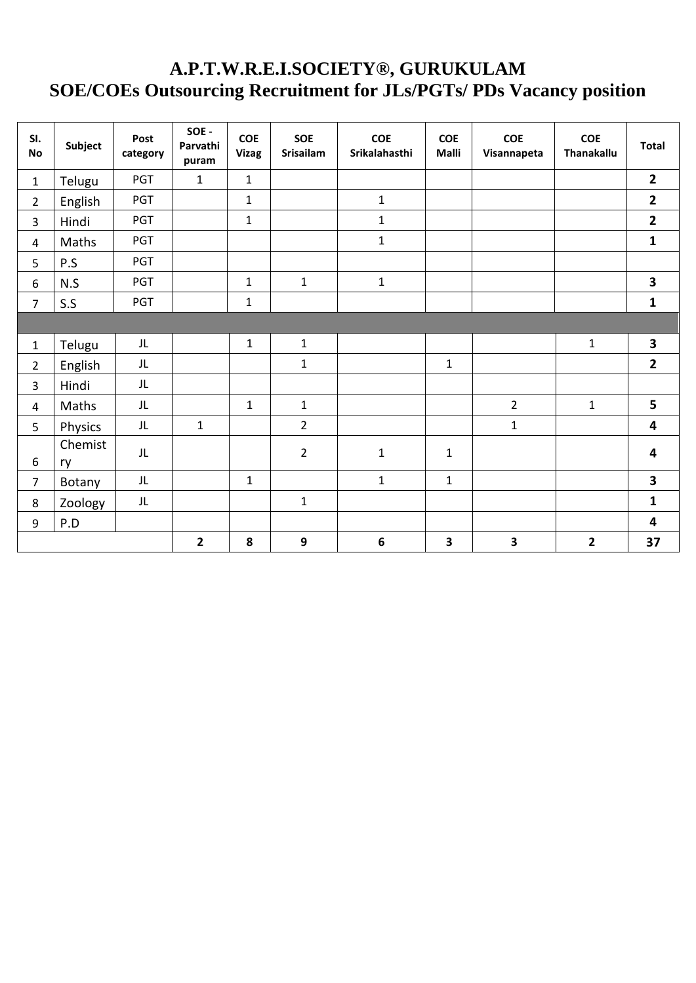### **A.P.T.W.R.E.I.SOCIETY®, GURUKULAM SOE/COEs Outsourcing Recruitment for JLs/PGTs/ PDs Vacancy position**

| SI.<br><b>No</b>        | Subject       | Post<br>category | SOE -<br>Parvathi<br>puram | <b>COE</b><br><b>Vizag</b> | <b>SOE</b><br><b>Srisailam</b> | <b>COE</b><br>Srikalahasthi | <b>COE</b><br><b>Malli</b> | <b>COE</b><br>Visannapeta | <b>COE</b><br><b>Thanakallu</b> | <b>Total</b>            |
|-------------------------|---------------|------------------|----------------------------|----------------------------|--------------------------------|-----------------------------|----------------------------|---------------------------|---------------------------------|-------------------------|
| $\mathbf{1}$            | Telugu        | <b>PGT</b>       | $\mathbf{1}$               | $\mathbf{1}$               |                                |                             |                            |                           |                                 | $\overline{2}$          |
| $\overline{2}$          | English       | PGT              |                            | $\mathbf{1}$               |                                | $\mathbf 1$                 |                            |                           |                                 | $\mathbf{2}$            |
| $\overline{3}$          | Hindi         | <b>PGT</b>       |                            | $\mathbf{1}$               |                                | $\mathbf{1}$                |                            |                           |                                 | $\overline{\mathbf{2}}$ |
| $\overline{4}$          | Maths         | PGT              |                            |                            |                                | $\mathbf{1}$                |                            |                           |                                 | $\mathbf{1}$            |
| 5                       | P.S           | PGT              |                            |                            |                                |                             |                            |                           |                                 |                         |
| 6                       | N.S           | PGT              |                            | $\mathbf{1}$               | $\mathbf{1}$                   | $\mathbf 1$                 |                            |                           |                                 | 3                       |
| $\overline{7}$          | S.S           | PGT              |                            | $\mathbf{1}$               |                                |                             |                            |                           |                                 | $\mathbf{1}$            |
|                         |               |                  |                            |                            |                                |                             |                            |                           |                                 |                         |
| $\mathbf 1$             | Telugu        | JL               |                            | $\mathbf{1}$               | $\mathbf{1}$                   |                             |                            |                           | $\mathbf{1}$                    | 3                       |
| $\overline{2}$          | English       | JL               |                            |                            | $\mathbf{1}$                   |                             | $\mathbf{1}$               |                           |                                 | $\overline{2}$          |
| $\overline{3}$          | Hindi         | JL               |                            |                            |                                |                             |                            |                           |                                 |                         |
| $\overline{\mathbf{4}}$ | Maths         | JL               |                            | $\mathbf{1}$               | $\mathbf{1}$                   |                             |                            | $\overline{2}$            | $\mathbf{1}$                    | 5                       |
| 5                       | Physics       | JL               | $\mathbf{1}$               |                            | $\overline{2}$                 |                             |                            | $\mathbf{1}$              |                                 | 4                       |
| $\boldsymbol{6}$        | Chemist<br>ry | JL               |                            |                            | $\overline{2}$                 | $\mathbf 1$                 | $\mathbf{1}$               |                           |                                 | 4                       |
| $\overline{7}$          | Botany        | JL               |                            | $\mathbf{1}$               |                                | $\mathbf{1}$                | $\mathbf{1}$               |                           |                                 | 3                       |
| 8                       | Zoology       | JL               |                            |                            | $\mathbf{1}$                   |                             |                            |                           |                                 | $\mathbf{1}$            |
| $\boldsymbol{9}$        | P.D           |                  |                            |                            |                                |                             |                            |                           |                                 | 4                       |
|                         |               |                  | $\overline{2}$             | 8                          | $\mathbf{9}$                   | $\boldsymbol{6}$            | 3                          | $\overline{\mathbf{3}}$   | $\overline{2}$                  | 37                      |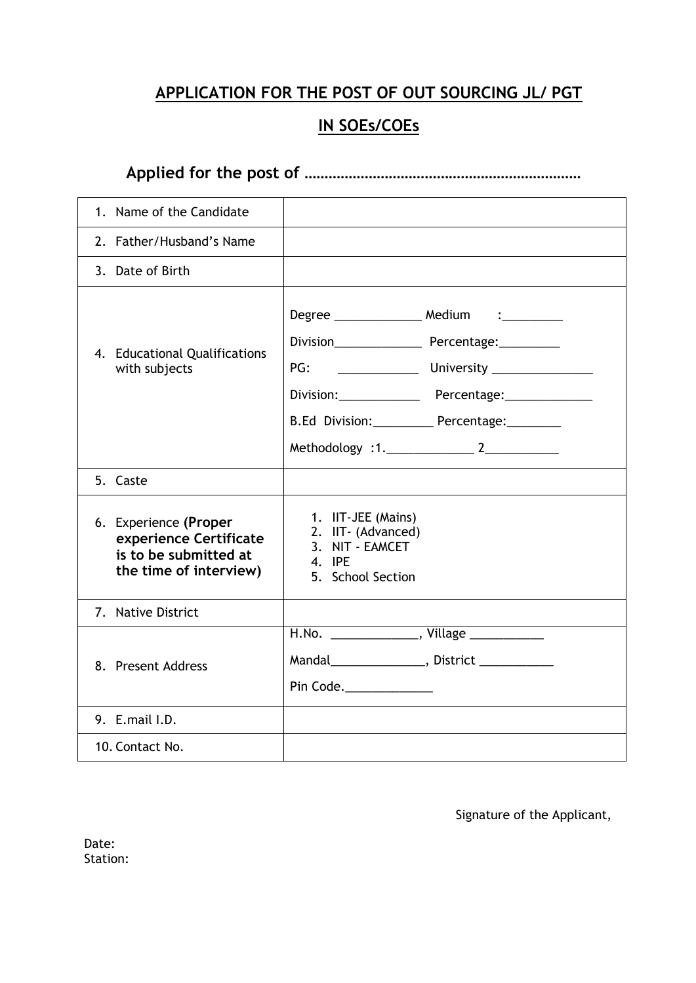### **APPLICATION FOR THE POST OF OUT SOURCING JL/ PGT**

## **IN SOEs/COEs**

**Applied for the post of ……………………………………………………………**

| 1. Name of the Candidate                                                                           |                                                                                                                                                                                                                                                                                                                                                                      |
|----------------------------------------------------------------------------------------------------|----------------------------------------------------------------------------------------------------------------------------------------------------------------------------------------------------------------------------------------------------------------------------------------------------------------------------------------------------------------------|
| 2. Father/Husband's Name                                                                           |                                                                                                                                                                                                                                                                                                                                                                      |
| 3. Date of Birth                                                                                   |                                                                                                                                                                                                                                                                                                                                                                      |
| 4. Educational Qualifications<br>with subjects                                                     | Degree _________________ Medium i___________<br>PG: University Charles Contains Containing Containing Containing Containing Containing Containing Containing Containing Containing Containing Contains Containing Contains Contains Contains Contains Contains Contains Contai<br>Division: Percentage: Division:<br>B.Ed Division:____________ Percentage:_________ |
| 5. Caste                                                                                           |                                                                                                                                                                                                                                                                                                                                                                      |
| 6. Experience (Proper<br>experience Certificate<br>is to be submitted at<br>the time of interview) | 1. IIT-JEE (Mains)<br>2. IIT- (Advanced)<br>3. NIT - EAMCET<br>4. IPE<br>5. School Section                                                                                                                                                                                                                                                                           |
| 7. Native District                                                                                 |                                                                                                                                                                                                                                                                                                                                                                      |
| 8. Present Address                                                                                 | H.No. ________________, Village _____________<br>Mandal _____________________, District _______________<br>Pin Code.______________                                                                                                                                                                                                                                   |
| 9. E.mail I.D.                                                                                     |                                                                                                                                                                                                                                                                                                                                                                      |
| 10. Contact No.                                                                                    |                                                                                                                                                                                                                                                                                                                                                                      |

Signature of the Applicant,

| Date:    |  |
|----------|--|
| Station: |  |